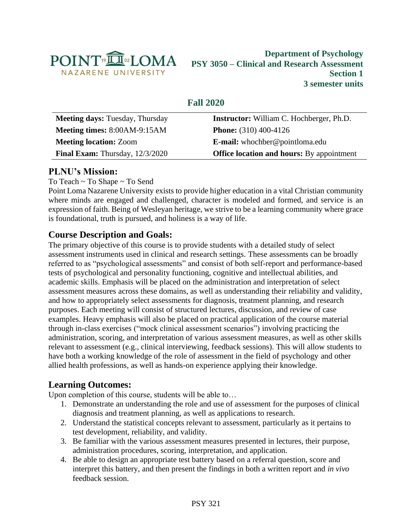

# **Department of Psychology PSY 3050 – Clinical and Research Assessment Section 1 3 semester units**

# **Fall 2020**

| <b>Meeting days: Tuesday, Thursday</b> | <b>Instructor:</b> William C. Hochberger, Ph.D.  |  |
|----------------------------------------|--------------------------------------------------|--|
| Meeting times: 8:00AM-9:15AM           | <b>Phone:</b> $(310)$ 400-4126                   |  |
| <b>Meeting location: Zoom</b>          | E-mail: whochber@pointloma.edu                   |  |
| Final Exam: Thursday, 12/3/2020        | <b>Office location and hours:</b> By appointment |  |
|                                        |                                                  |  |

# **PLNU's Mission:**

To Teach ~ To Shape ~ To Send

Point Loma Nazarene University exists to provide higher education in a vital Christian community where minds are engaged and challenged, character is modeled and formed, and service is an expression of faith. Being of Wesleyan heritage, we strive to be a learning community where grace is foundational, truth is pursued, and holiness is a way of life.

# **Course Description and Goals:**

The primary objective of this course is to provide students with a detailed study of select assessment instruments used in clinical and research settings. These assessments can be broadly referred to as "psychological assessments" and consist of both self-report and performance-based tests of psychological and personality functioning, cognitive and intellectual abilities, and academic skills. Emphasis will be placed on the administration and interpretation of select assessment measures across these domains, as well as understanding their reliability and validity, and how to appropriately select assessments for diagnosis, treatment planning, and research purposes. Each meeting will consist of structured lectures, discussion, and review of case examples. Heavy emphasis will also be placed on practical application of the course material through in-class exercises ("mock clinical assessment scenarios") involving practicing the administration, scoring, and interpretation of various assessment measures, as well as other skills relevant to assessment (e.g., clinical interviewing, feedback sessions). This will allow students to have both a working knowledge of the role of assessment in the field of psychology and other allied health professions, as well as hands-on experience applying their knowledge.

# **Learning Outcomes:**

Upon completion of this course, students will be able to…

- 1. Demonstrate an understanding the role and use of assessment for the purposes of clinical diagnosis and treatment planning, as well as applications to research.
- 2. Understand the statistical concepts relevant to assessment, particularly as it pertains to test development, reliability, and validity.
- 3. Be familiar with the various assessment measures presented in lectures, their purpose, administration procedures, scoring, interpretation, and application.
- 4. Be able to design an appropriate test battery based on a referral question, score and interpret this battery, and then present the findings in both a written report and *in vivo* feedback session.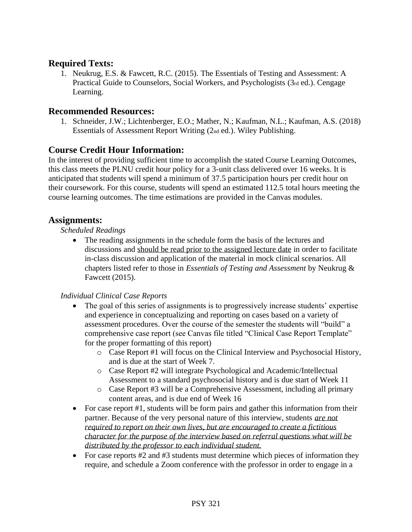## **Required Texts:**

1. Neukrug, E.S. & Fawcett, R.C. (2015). The Essentials of Testing and Assessment: A Practical Guide to Counselors, Social Workers, and Psychologists (3rd ed.). Cengage Learning.

### **Recommended Resources:**

1. Schneider, J.W.; Lichtenberger, E.O.; Mather, N.; Kaufman, N.L.; Kaufman, A.S. (2018) Essentials of Assessment Report Writing (2nd ed.). Wiley Publishing.

## **Course Credit Hour Information:**

In the interest of providing sufficient time to accomplish the stated Course Learning Outcomes, this class meets the PLNU credit hour policy for a 3-unit class delivered over 16 weeks. It is anticipated that students will spend a minimum of 37.5 participation hours per credit hour on their coursework. For this course, students will spend an estimated 112.5 total hours meeting the course learning outcomes. The time estimations are provided in the Canvas modules.

## **Assignments:**

#### *Scheduled Readings*

The reading assignments in the schedule form the basis of the lectures and discussions and should be read prior to the assigned lecture date in order to facilitate in-class discussion and application of the material in mock clinical scenarios. All chapters listed refer to those in *Essentials of Testing and Assessment* by Neukrug & Fawcett (2015).

### *Individual Clinical Case Reports*

- The goal of this series of assignments is to progressively increase students' expertise and experience in conceptualizing and reporting on cases based on a variety of assessment procedures. Over the course of the semester the students will "build" a comprehensive case report (see Canvas file titled "Clinical Case Report Template" for the proper formatting of this report)
	- o Case Report #1 will focus on the Clinical Interview and Psychosocial History, and is due at the start of Week 7.
	- o Case Report #2 will integrate Psychological and Academic/Intellectual Assessment to a standard psychosocial history and is due start of Week 11
	- o Case Report #3 will be a Comprehensive Assessment, including all primary content areas, and is due end of Week 16
- For case report #1, students will be form pairs and gather this information from their partner. Because of the very personal nature of this interview, students *are not required to report on their own lives, but are encouraged to create a fictitious character for the purpose of the interview based on referral questions what will be distributed by the professor to each individual student.*
- For case reports #2 and #3 students must determine which pieces of information they require, and schedule a Zoom conference with the professor in order to engage in a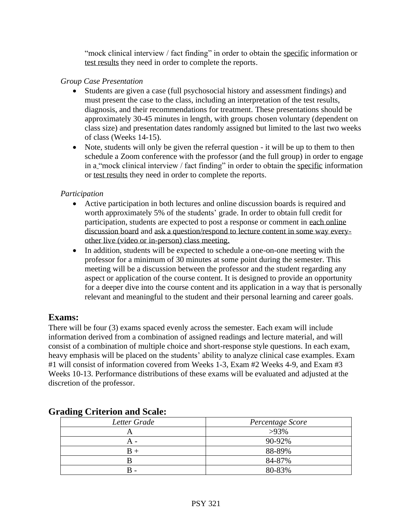"mock clinical interview / fact finding" in order to obtain the specific information or test results they need in order to complete the reports.

### *Group Case Presentation*

- Students are given a case (full psychosocial history and assessment findings) and must present the case to the class, including an interpretation of the test results, diagnosis, and their recommendations for treatment. These presentations should be approximately 30-45 minutes in length, with groups chosen voluntary (dependent on class size) and presentation dates randomly assigned but limited to the last two weeks of class (Weeks 14-15).
- Note, students will only be given the referral question it will be up to them to then schedule a Zoom conference with the professor (and the full group) in order to engage in a "mock clinical interview / fact finding" in order to obtain the specific information or test results they need in order to complete the reports.

## *Participation*

- Active participation in both lectures and online discussion boards is required and worth approximately 5% of the students' grade. In order to obtain full credit for participation, students are expected to post a response or comment in each online discussion board and ask a question/respond to lecture content in some way everyother live (video or in-person) class meeting.
- In addition, students will be expected to schedule a one-on-one meeting with the professor for a minimum of 30 minutes at some point during the semester. This meeting will be a discussion between the professor and the student regarding any aspect or application of the course content. It is designed to provide an opportunity for a deeper dive into the course content and its application in a way that is personally relevant and meaningful to the student and their personal learning and career goals.

# **Exams:**

There will be four (3) exams spaced evenly across the semester. Each exam will include information derived from a combination of assigned readings and lecture material, and will consist of a combination of multiple choice and short-response style questions. In each exam, heavy emphasis will be placed on the students' ability to analyze clinical case examples. Exam #1 will consist of information covered from Weeks 1-3, Exam #2 Weeks 4-9, and Exam #3 Weeks 10-13. Performance distributions of these exams will be evaluated and adjusted at the discretion of the professor.

| $\bullet$<br>Letter Grade | Percentage Score |  |
|---------------------------|------------------|--|
|                           | $>93\%$          |  |
|                           | 90-92%           |  |
| $B +$                     | 88-89%           |  |
|                           | 84-87%           |  |
| $B -$                     | 80-83%           |  |

## **Grading Criterion and Scale:**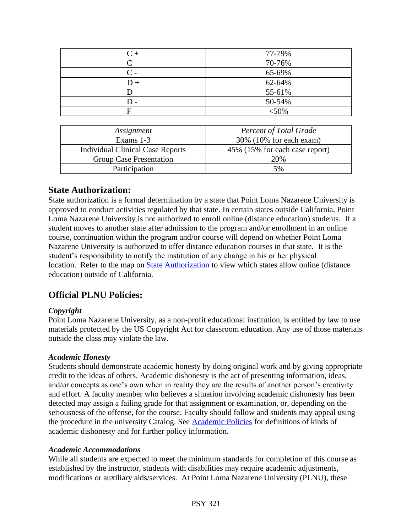| $C +$ | 77-79%  |
|-------|---------|
|       | 70-76%  |
| C -   | 65-69%  |
| $D +$ | 62-64%  |
|       | 55-61%  |
| D -   | 50-54%  |
| F     | $<$ 50% |
|       |         |

| Assignment                              | <b>Percent of Total Grade</b>  |  |  |
|-----------------------------------------|--------------------------------|--|--|
| Exams 1-3                               | 30% (10% for each exam)        |  |  |
| <b>Individual Clinical Case Reports</b> | 45% (15% for each case report) |  |  |
| Group Case Presentation                 | 20%                            |  |  |
| Participation                           | 5%                             |  |  |
|                                         |                                |  |  |

## **State Authorization:**

State authorization is a formal determination by a state that Point Loma Nazarene University is approved to conduct activities regulated by that state. In certain states outside California, Point Loma Nazarene University is not authorized to enroll online (distance education) students. If a student moves to another state after admission to the program and/or enrollment in an online course, continuation within the program and/or course will depend on whether Point Loma Nazarene University is authorized to offer distance education courses in that state. It is the student's responsibility to notify the institution of any change in his or her physical location. Refer to the map on [State Authorization](https://www.pointloma.edu/offices/office-institutional-effectiveness-research/disclosures) to view which states allow online (distance education) outside of California.

# **Official PLNU Policies:**

### *Copyright*

Point Loma Nazarene University, as a non-profit educational institution, is entitled by law to use materials protected by the US Copyright Act for classroom education. Any use of those materials outside the class may violate the law.

#### *Academic Honesty*

Students should demonstrate academic honesty by doing original work and by giving appropriate credit to the ideas of others. Academic dishonesty is the act of presenting information, ideas, and/or concepts as one's own when in reality they are the results of another person's creativity and effort. A faculty member who believes a situation involving academic dishonesty has been detected may assign a failing grade for that assignment or examination, or, depending on the seriousness of the offense, for the course. Faculty should follow and students may appeal using the procedure in the university Catalog. See [Academic Policies](https://catalog.pointloma.edu/content.php?catoid=41&navoid=2435#Academic_Honesty) for definitions of kinds of academic dishonesty and for further policy information.

#### *Academic Accommodations*

While all students are expected to meet the minimum standards for completion of this course as established by the instructor, students with disabilities may require academic adjustments, modifications or auxiliary aids/services. At Point Loma Nazarene University (PLNU), these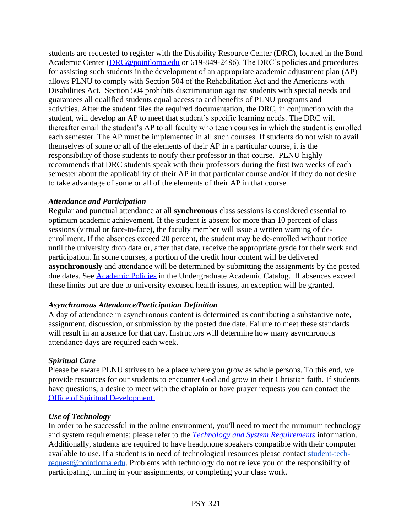students are requested to register with the Disability Resource Center (DRC), located in the Bond Academic Center [\(DRC@pointloma.edu](mailto:DRC@pointloma.edu) or 619-849-2486). The DRC's policies and procedures for assisting such students in the development of an appropriate academic adjustment plan (AP) allows PLNU to comply with Section 504 of the Rehabilitation Act and the Americans with Disabilities Act. Section 504 prohibits discrimination against students with special needs and guarantees all qualified students equal access to and benefits of PLNU programs and activities. After the student files the required documentation, the DRC, in conjunction with the student, will develop an AP to meet that student's specific learning needs. The DRC will thereafter email the student's AP to all faculty who teach courses in which the student is enrolled each semester. The AP must be implemented in all such courses. If students do not wish to avail themselves of some or all of the elements of their AP in a particular course, it is the responsibility of those students to notify their professor in that course. PLNU highly recommends that DRC students speak with their professors during the first two weeks of each semester about the applicability of their AP in that particular course and/or if they do not desire to take advantage of some or all of the elements of their AP in that course.

#### *Attendance and Participation*

Regular and punctual attendance at all **synchronous** class sessions is considered essential to optimum academic achievement. If the student is absent for more than 10 percent of class sessions (virtual or face-to-face), the faculty member will issue a written warning of deenrollment. If the absences exceed 20 percent, the student may be de-enrolled without notice until the university drop date or, after that date, receive the appropriate grade for their work and participation. In some courses, a portion of the credit hour content will be delivered **asynchronously** and attendance will be determined by submitting the assignments by the posted due dates. See [Academic Policies](https://catalog.pointloma.edu/content.php?catoid=46&navoid=2650#Class_Attendance) in the Undergraduate Academic Catalog. If absences exceed these limits but are due to university excused health issues, an exception will be granted.

### *Asynchronous Attendance/Participation Definition*

A day of attendance in asynchronous content is determined as contributing a substantive note, assignment, discussion, or submission by the posted due date. Failure to meet these standards will result in an absence for that day. Instructors will determine how many asynchronous attendance days are required each week.

### *Spiritual Care*

Please be aware PLNU strives to be a place where you grow as whole persons. To this end, we provide resources for our students to encounter God and grow in their Christian faith. If students have questions, a desire to meet with the chaplain or have prayer requests you can contact the [Office of Spiritual Development](https://www.pointloma.edu/offices/spiritual-development)

#### *Use of Technology*

In order to be successful in the online environment, you'll need to meet the minimum technology and system requirements; please refer to the *[Technology and System Requirements](https://help.pointloma.edu/TDClient/1808/Portal/KB/ArticleDet?ID=108349)* information. Additionally, students are required to have headphone speakers compatible with their computer available to use. If a student is in need of technological resources please contact [student-tech](mailto:student-tech-request@pointloma.edu)[request@pointloma.edu.](mailto:student-tech-request@pointloma.edu) Problems with technology do not relieve you of the responsibility of participating, turning in your assignments, or completing your class work.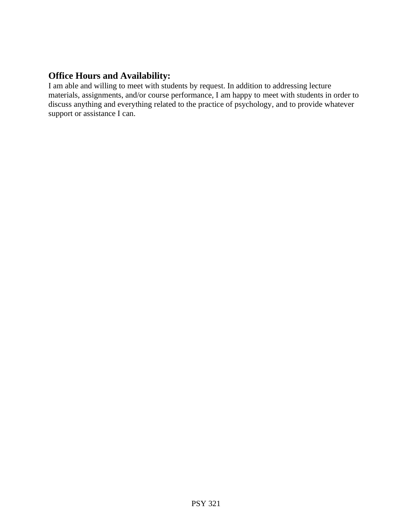# **Office Hours and Availability:**

I am able and willing to meet with students by request. In addition to addressing lecture materials, assignments, and/or course performance, I am happy to meet with students in order to discuss anything and everything related to the practice of psychology, and to provide whatever support or assistance I can.